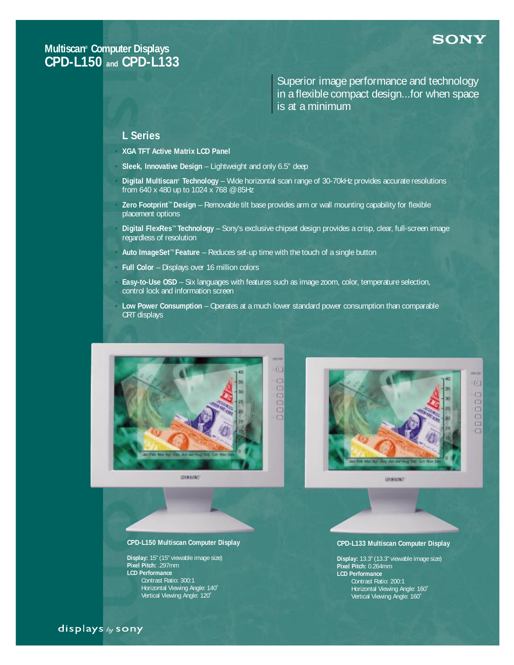## **SONY**

G1

 $\Box$ 

ö

 $\Box$  $\Box$ 

 $\Box$  $\Box$ 

## **Multiscan® Computer Displays CPD-L150 and CPD-L133**

Superior image performance and technology in a flexible compact design...for when space is at a minimum

## **L Series**

**• XGA TFT Active Matrix LCD Panel**

- **• Sleek, Innovative Design** Lightweight and only 6.5" deep
- **• Digital Multiscan® Technology** Wide horizontal scan range of 30-70kHz provides accurate resolutions from 640 x 480 up to 1024 x 768 @ 85Hz
- **• Zero Footprint**™ **Design** Removable tilt base provides arm or wall mounting capability for flexible placement options
- **• Digital FlexRes**™ **Technology** Sony's exclusive chipset design provides a crisp, clear, full-screen image regardless of resolution
- **• Auto ImageSet**™ **Feature** Reduces set-up time with the touch of a single button
- **• Full Color**  Displays over 16 million colors
- **• Easy-to-Use OSD** Six languages with features such as image zoom, color, temperature selection, control lock and information screen
- **• Low Power Consumption** Operates at a much lower standard power consumption than comparable CRT displays





### **CPD-L150 Multiscan Computer Display**

**Display:** 15" (15" viewable image size) **Pixel Pitch:** .297mm **LCD Performance** Contrast Ratio: 300:1 Horizontal Viewing Angle: 140˚ Vertical Viewing Angle: 120˚

**CPD-L133 Multiscan Computer Display**

**Display:** 13.3" (13.3" viewable image size) **Pixel Pitch:** 0.264mm **LCD Performance** Contrast Ratio: 200:1 Horizontal Viewing Angle: 160˚ Vertical Viewing Angle: 160˚

displays by sony